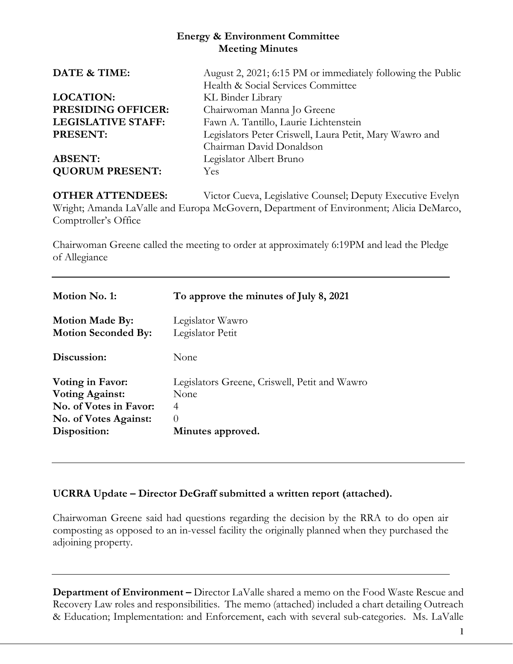## **Energy & Environment Committee Meeting Minutes**

| August 2, 2021; 6:15 PM or immediately following the Public |
|-------------------------------------------------------------|
| Health & Social Services Committee                          |
| KL Binder Library                                           |
| Chairwoman Manna Jo Greene                                  |
| Fawn A. Tantillo, Laurie Lichtenstein                       |
| Legislators Peter Criswell, Laura Petit, Mary Wawro and     |
| Chairman David Donaldson                                    |
| Legislator Albert Bruno                                     |
| <b>Yes</b>                                                  |
|                                                             |

**OTHER ATTENDEES:** Victor Cueva, Legislative Counsel; Deputy Executive Evelyn Wright; Amanda LaValle and Europa McGovern, Department of Environment; Alicia DeMarco, Comptroller's Office

Chairwoman Greene called the meeting to order at approximately 6:19PM and lead the Pledge of Allegiance

| Motion No. 1:              | To approve the minutes of July 8, 2021        |
|----------------------------|-----------------------------------------------|
| <b>Motion Made By:</b>     | Legislator Wawro                              |
| <b>Motion Seconded By:</b> | Legislator Petit                              |
| Discussion:                | None                                          |
| Voting in Favor:           | Legislators Greene, Criswell, Petit and Wawro |
| <b>Voting Against:</b>     | None                                          |
| No. of Votes in Favor:     | 4                                             |
| No. of Votes Against:      | $\left( \right)$                              |
| Disposition:               | Minutes approved.                             |

# **UCRRA Update – Director DeGraff submitted a written report (attached).**

Chairwoman Greene said had questions regarding the decision by the RRA to do open air composting as opposed to an in-vessel facility the originally planned when they purchased the adjoining property.

**Department of Environment –** Director LaValle shared a memo on the Food Waste Rescue and Recovery Law roles and responsibilities. The memo (attached) included a chart detailing Outreach & Education; Implementation: and Enforcement, each with several sub-categories. Ms. LaValle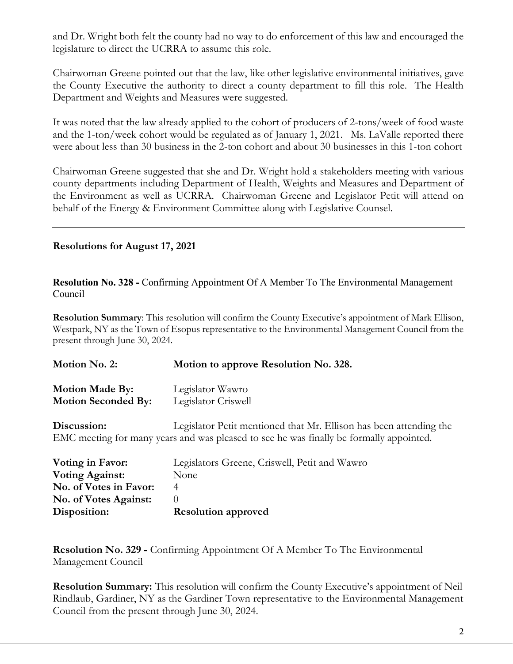and Dr. Wright both felt the county had no way to do enforcement of this law and encouraged the legislature to direct the UCRRA to assume this role.

Chairwoman Greene pointed out that the law, like other legislative environmental initiatives, gave the County Executive the authority to direct a county department to fill this role. The Health Department and Weights and Measures were suggested.

It was noted that the law already applied to the cohort of producers of 2-tons/week of food waste and the 1-ton/week cohort would be regulated as of January 1, 2021. Ms. LaValle reported there were about less than 30 business in the 2-ton cohort and about 30 businesses in this 1-ton cohort

Chairwoman Greene suggested that she and Dr. Wright hold a stakeholders meeting with various county departments including Department of Health, Weights and Measures and Department of the Environment as well as UCRRA. Chairwoman Greene and Legislator Petit will attend on behalf of the Energy & Environment Committee along with Legislative Counsel.

## **Resolutions for August 17, 2021**

**Resolution No. 328 -** Confirming Appointment Of A Member To The Environmental Management Council

**Resolution Summary**: This resolution will confirm the County Executive's appointment of Mark Ellison, Westpark, NY as the Town of Esopus representative to the Environmental Management Council from the present through June 30, 2024.

| Motion No. 2:              | Motion to approve Resolution No. 328.                                                   |
|----------------------------|-----------------------------------------------------------------------------------------|
| <b>Motion Made By:</b>     | Legislator Wawro                                                                        |
| <b>Motion Seconded By:</b> | Legislator Criswell                                                                     |
| Discussion:                | Legislator Petit mentioned that Mr. Ellison has been attending the                      |
|                            | EMC meeting for many years and was pleased to see he was finally be formally appointed. |

| Voting in Favor:       | Legislators Greene, Criswell, Petit and Wawro |
|------------------------|-----------------------------------------------|
| <b>Voting Against:</b> | None                                          |
| No. of Votes in Favor: |                                               |
| No. of Votes Against:  |                                               |
| Disposition:           | <b>Resolution approved</b>                    |
|                        |                                               |

**Resolution No. 329 -** Confirming Appointment Of A Member To The Environmental Management Council

**Resolution Summary:** This resolution will confirm the County Executive's appointment of Neil Rindlaub, Gardiner, NY as the Gardiner Town representative to the Environmental Management Council from the present through June 30, 2024.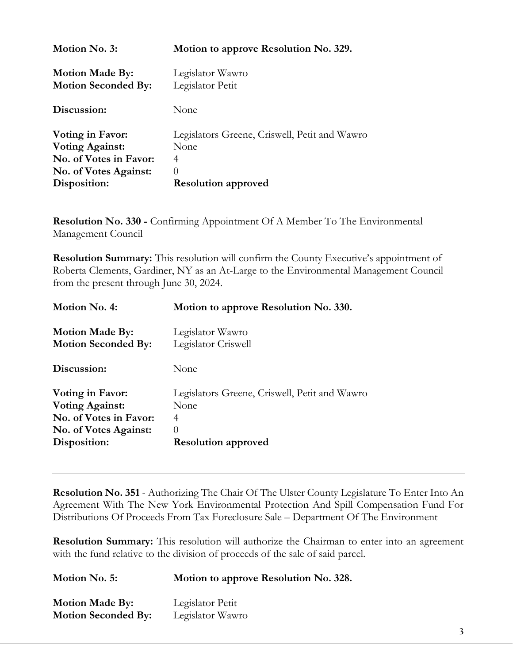| Motion to approve Resolution No. 329.                              |  |
|--------------------------------------------------------------------|--|
| Legislator Wawro<br>Legislator Petit<br><b>Motion Seconded By:</b> |  |
| None                                                               |  |
| Legislators Greene, Criswell, Petit and Wawro                      |  |
| None                                                               |  |
| No. of Votes in Favor:<br>4                                        |  |
| No. of Votes Against:<br>$\left( \right)$                          |  |
| <b>Resolution approved</b>                                         |  |
|                                                                    |  |

**Resolution No. 330 -** Confirming Appointment Of A Member To The Environmental Management Council

**Resolution Summary:** This resolution will confirm the County Executive's appointment of Roberta Clements, Gardiner, NY as an At-Large to the Environmental Management Council from the present through June 30, 2024.

| Motion No. 4:              | Motion to approve Resolution No. 330.         |
|----------------------------|-----------------------------------------------|
| <b>Motion Made By:</b>     | Legislator Wawro                              |
| <b>Motion Seconded By:</b> | Legislator Criswell                           |
| Discussion:                | None                                          |
| <b>Voting in Favor:</b>    | Legislators Greene, Criswell, Petit and Wawro |
| <b>Voting Against:</b>     | None                                          |
| No. of Votes in Favor:     | 4                                             |
| No. of Votes Against:      | $\Omega$                                      |
| Disposition:               | <b>Resolution approved</b>                    |

**Resolution No. 351** - Authorizing The Chair Of The Ulster County Legislature To Enter Into An Agreement With The New York Environmental Protection And Spill Compensation Fund For Distributions Of Proceeds From Tax Foreclosure Sale – Department Of The Environment

**Resolution Summary:** This resolution will authorize the Chairman to enter into an agreement with the fund relative to the division of proceeds of the sale of said parcel.

| Motion No. 5:              | Motion to approve Resolution No. 328. |
|----------------------------|---------------------------------------|
| <b>Motion Made By:</b>     | Legislator Petit                      |
| <b>Motion Seconded By:</b> | Legislator Wawro                      |